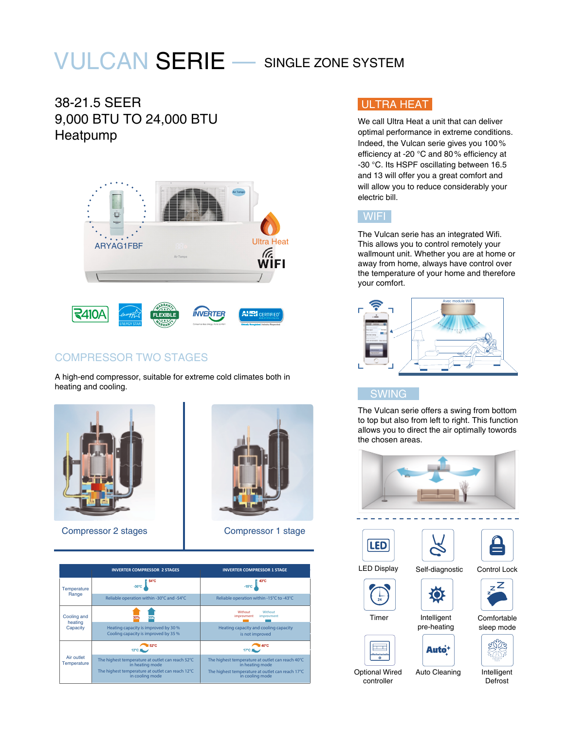# VULCAN SERIE — SINGLE ZONE SYSTEM

## 38-21.5 SEER 9,000 BTU TO 24,000 BTU Heatpump



## COMPRESSOR TWO STAGES

A high-end compressor, suitable for extreme cold climates both in heating and cooling.



Compressor 2 stages **Compressor 1 stage** 





### ULTRA HEAT

We call Ultra Heat a unit that can deliver optimal performance in extreme conditions. Indeed, the Vulcan serie gives you 100% efficiency at -20 °C and 80% efficiency at -30 °C. Its HSPF oscillating between 16.5 and 13 will offer you a great comfort and will allow you to reduce considerably your electric bill.



The Vulcan serie has an integrated Wifi. This allows you to control remotely your wallmount unit. Whether you are at home or away from home, always have control over the temperature of your home and therefore your comfort.



#### **SWING**

The Vulcan serie offers a swing from bottom to top but also from left to right. This function allows you to direct the air optimally towords the chosen areas.